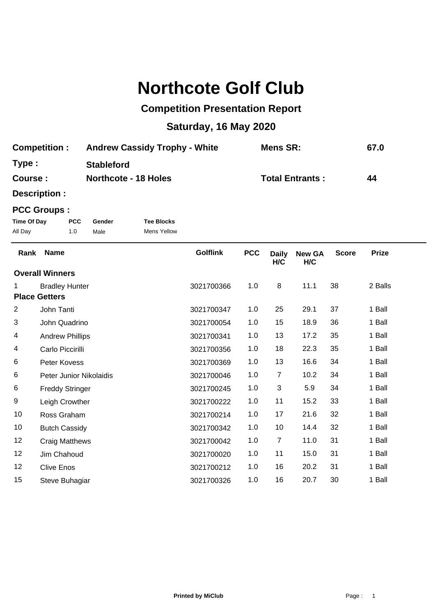## **Northcote Golf Club**

## **Competition Presentation Report**

## **Saturday, 16 May 2020**

| <b>Competition:</b> | <b>Andrew Cassidy Trophy - White</b> | <b>Mens SR:</b>        | 67.0 |
|---------------------|--------------------------------------|------------------------|------|
| Type :              | <b>Stableford</b>                    |                        |      |
| <b>Course :</b>     | <b>Northcote - 18 Holes</b>          | <b>Total Entrants:</b> | 44   |

**Description :**

## **PCC Groups :**

| Time Of Day | <b>PCC</b> | Gender | <b>Tee Blocks</b> |
|-------------|------------|--------|-------------------|
| All Day     | 1.0        | Male   | Mens Yellow       |

| Rank                   | <b>Name</b>             | <b>Golflink</b> | <b>PCC</b> | <b>Daily</b><br>H/C | <b>New GA</b><br>H/C | <b>Score</b> | <b>Prize</b> |
|------------------------|-------------------------|-----------------|------------|---------------------|----------------------|--------------|--------------|
| <b>Overall Winners</b> |                         |                 |            |                     |                      |              |              |
| 1                      | <b>Bradley Hunter</b>   | 3021700366      | 1.0        | 8                   | 11.1                 | 38           | 2 Balls      |
| <b>Place Getters</b>   |                         |                 |            |                     |                      |              |              |
| 2                      | John Tanti              | 3021700347      | 1.0        | 25                  | 29.1                 | 37           | 1 Ball       |
| 3                      | John Quadrino           | 3021700054      | 1.0        | 15                  | 18.9                 | 36           | 1 Ball       |
| 4                      | <b>Andrew Phillips</b>  | 3021700341      | 1.0        | 13                  | 17.2                 | 35           | 1 Ball       |
| 4                      | Carlo Piccirilli        | 3021700356      | 1.0        | 18                  | 22.3                 | 35           | 1 Ball       |
| 6                      | Peter Kovess            | 3021700369      | 1.0        | 13                  | 16.6                 | 34           | 1 Ball       |
| 6                      | Peter Junior Nikolaidis | 3021700046      | 1.0        | $\overline{7}$      | 10.2                 | 34           | 1 Ball       |
| 6                      | <b>Freddy Stringer</b>  | 3021700245      | 1.0        | 3                   | 5.9                  | 34           | 1 Ball       |
| 9                      | Leigh Crowther          | 3021700222      | 1.0        | 11                  | 15.2                 | 33           | 1 Ball       |
| 10                     | Ross Graham             | 3021700214      | 1.0        | 17                  | 21.6                 | 32           | 1 Ball       |
| 10                     | <b>Butch Cassidy</b>    | 3021700342      | 1.0        | 10                  | 14.4                 | 32           | 1 Ball       |
| 12                     | <b>Craig Matthews</b>   | 3021700042      | 1.0        | $\overline{7}$      | 11.0                 | 31           | 1 Ball       |
| 12                     | Jim Chahoud             | 3021700020      | 1.0        | 11                  | 15.0                 | 31           | 1 Ball       |
| 12                     | <b>Clive Enos</b>       | 3021700212      | 1.0        | 16                  | 20.2                 | 31           | 1 Ball       |
| 15                     | Steve Buhagiar          | 3021700326      | 1.0        | 16                  | 20.7                 | 30           | 1 Ball       |